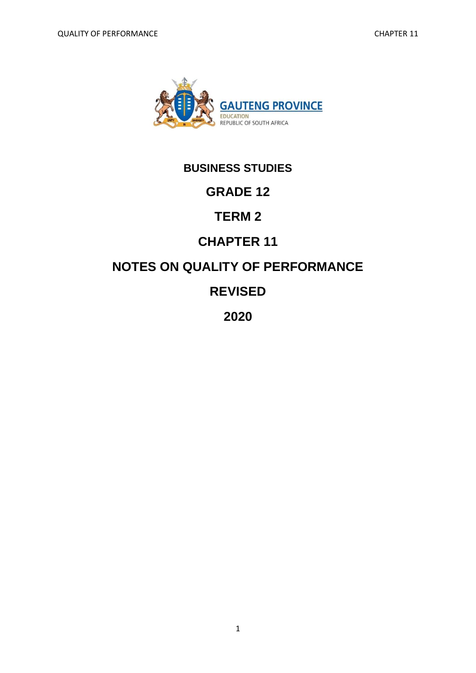

# **BUSINESS STUDIES**

# **GRADE 12**

# **TERM 2**

# **CHAPTER 11**

# **NOTES ON QUALITY OF PERFORMANCE**

# **REVISED**

# **2020**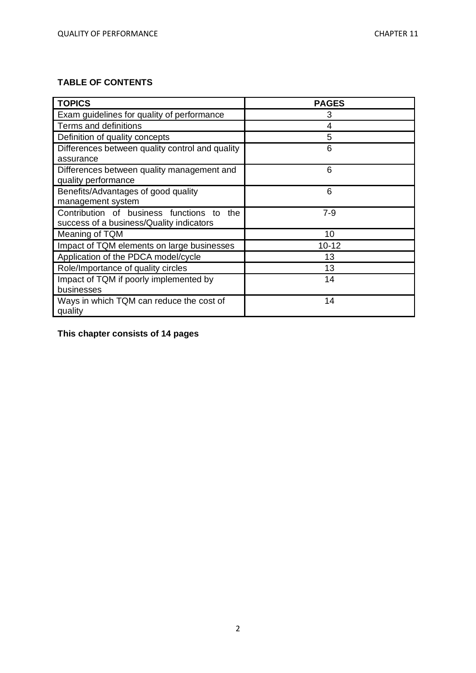# **TABLE OF CONTENTS**

| <b>TOPICS</b>                                                                            | <b>PAGES</b> |
|------------------------------------------------------------------------------------------|--------------|
| Exam guidelines for quality of performance                                               | 3            |
| Terms and definitions                                                                    | 4            |
| Definition of quality concepts                                                           | 5            |
| Differences between quality control and quality<br>assurance                             | 6            |
| Differences between quality management and<br>quality performance                        | 6            |
| Benefits/Advantages of good quality<br>management system                                 | 6            |
| Contribution of business functions to<br>the<br>success of a business/Quality indicators | $7 - 9$      |
| Meaning of TQM                                                                           | 10           |
| Impact of TQM elements on large businesses                                               | $10 - 12$    |
| Application of the PDCA model/cycle                                                      | 13           |
| Role/Importance of quality circles                                                       | 13           |
| Impact of TQM if poorly implemented by<br>businesses                                     | 14           |
| Ways in which TQM can reduce the cost of<br>quality                                      | 14           |

**This chapter consists of 14 pages**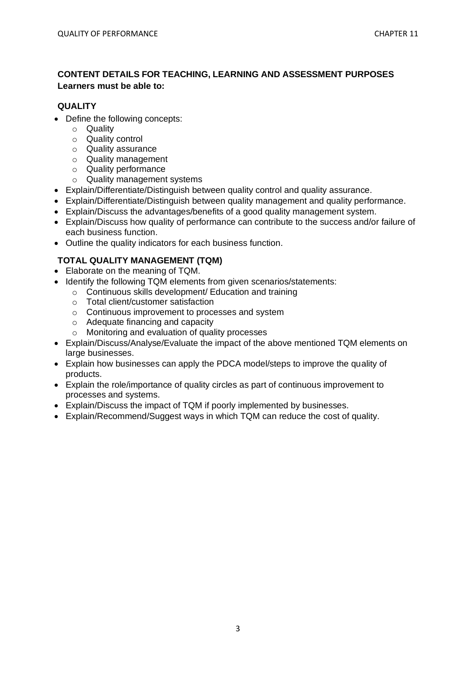## **CONTENT DETAILS FOR TEACHING, LEARNING AND ASSESSMENT PURPOSES Learners must be able to:**

#### **QUALITY**

- Define the following concepts:
	- o Quality
	- o Quality control
	- o Quality assurance
	- o Quality management
	- o Quality performance
	- o Quality management systems
- Explain/Differentiate/Distinguish between quality control and quality assurance.
- Explain/Differentiate/Distinguish between quality management and quality performance.
- Explain/Discuss the advantages/benefits of a good quality management system.
- Explain/Discuss how quality of performance can contribute to the success and/or failure of each business function.
- Outline the quality indicators for each business function.

# **TOTAL QUALITY MANAGEMENT (TQM)**

- Elaborate on the meaning of TQM.
- Identify the following TQM elements from given scenarios/statements:
	- o Continuous skills development/ Education and training
		- o Total client/customer satisfaction
		- o Continuous improvement to processes and system
		- o Adequate financing and capacity
		- o Monitoring and evaluation of quality processes
- Explain/Discuss/Analyse/Evaluate the impact of the above mentioned TQM elements on large businesses.
- Explain how businesses can apply the PDCA model/steps to improve the quality of products.
- Explain the role/importance of quality circles as part of continuous improvement to processes and systems.
- Explain/Discuss the impact of TQM if poorly implemented by businesses.
- Explain/Recommend/Suggest ways in which TQM can reduce the cost of quality.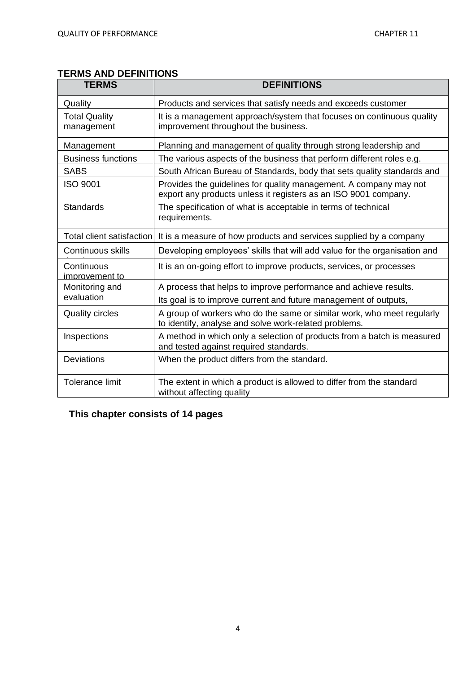# **TERMS AND DEFINITIONS**

| <b>TERMS</b>                       | <b>DEFINITIONS</b>                                                                                                                   |
|------------------------------------|--------------------------------------------------------------------------------------------------------------------------------------|
| Quality                            | Products and services that satisfy needs and exceeds customer                                                                        |
| <b>Total Quality</b><br>management | It is a management approach/system that focuses on continuous quality<br>improvement throughout the business.                        |
| Management                         | Planning and management of quality through strong leadership and                                                                     |
| <b>Business functions</b>          | The various aspects of the business that perform different roles e.g.                                                                |
| <b>SABS</b>                        | South African Bureau of Standards, body that sets quality standards and                                                              |
| <b>ISO 9001</b>                    | Provides the guidelines for quality management. A company may not<br>export any products unless it registers as an ISO 9001 company. |
| Standards                          | The specification of what is acceptable in terms of technical<br>requirements.                                                       |
| Total client satisfaction          | It is a measure of how products and services supplied by a company                                                                   |
| Continuous skills                  | Developing employees' skills that will add value for the organisation and                                                            |
| Continuous<br>improvement to       | It is an on-going effort to improve products, services, or processes                                                                 |
| Monitoring and                     | A process that helps to improve performance and achieve results.                                                                     |
| evaluation                         | Its goal is to improve current and future management of outputs,                                                                     |
| <b>Quality circles</b>             | A group of workers who do the same or similar work, who meet regularly<br>to identify, analyse and solve work-related problems.      |
| Inspections                        | A method in which only a selection of products from a batch is measured<br>and tested against required standards.                    |
| Deviations                         | When the product differs from the standard.                                                                                          |
| Tolerance limit                    | The extent in which a product is allowed to differ from the standard<br>without affecting quality                                    |

**This chapter consists of 14 pages**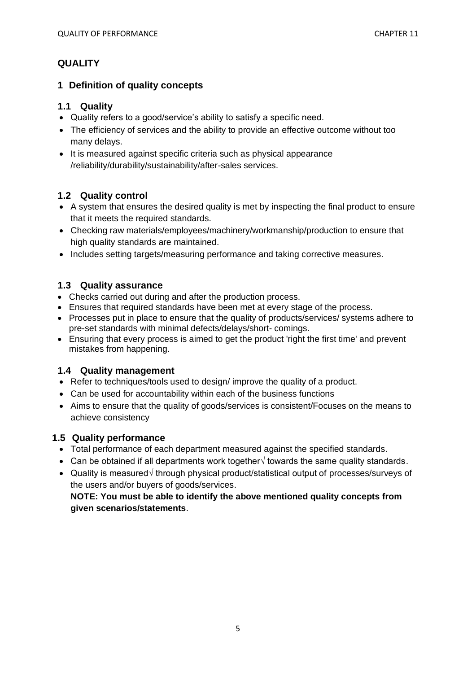# **QUALITY**

#### **1 Definition of quality concepts**

### **1.1 Quality**

- Quality refers to a good/service's ability to satisfy a specific need.
- The efficiency of services and the ability to provide an effective outcome without too many delays.
- It is measured against specific criteria such as physical appearance /reliability/durability/sustainability/after-sales services.

## **1.2 Quality control**

- A system that ensures the desired quality is met by inspecting the final product to ensure that it meets the required standards.
- Checking raw materials/employees/machinery/workmanship/production to ensure that high quality standards are maintained.
- Includes setting targets/measuring performance and taking corrective measures.

# **1.3 Quality assurance**

- Checks carried out during and after the production process.
- Ensures that required standards have been met at every stage of the process.
- Processes put in place to ensure that the quality of products/services/ systems adhere to pre-set standards with minimal defects/delays/short- comings.
- Ensuring that every process is aimed to get the product 'right the first time' and prevent mistakes from happening.

## **1.4 Quality management**

- Refer to techniques/tools used to design/ improve the quality of a product.
- Can be used for accountability within each of the business functions
- Aims to ensure that the quality of goods/services is consistent/Focuses on the means to achieve consistency

## **1.5 Quality performance**

- Total performance of each department measured against the specified standards.
- Can be obtained if all departments work together√ towards the same quality standards.
- Quality is measured√ through physical product/statistical output of processes/surveys of the users and/or buyers of goods/services.

**NOTE: You must be able to identify the above mentioned quality concepts from given scenarios/statements**.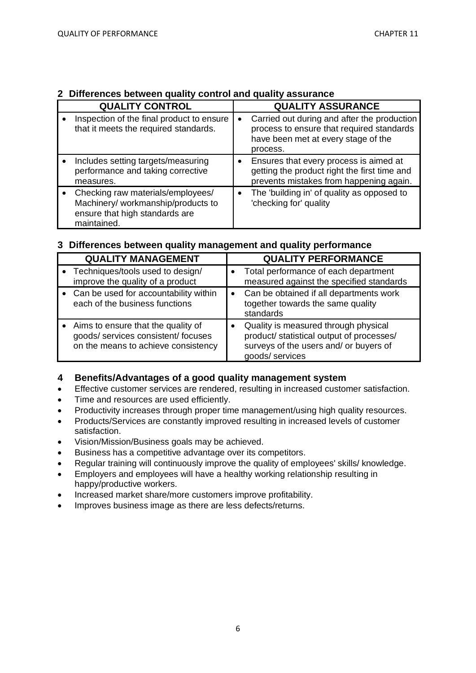| <b>QUALITY CONTROL</b>                                                                                                   | <b>QUALITY ASSURANCE</b>                                                                                                                                 |
|--------------------------------------------------------------------------------------------------------------------------|----------------------------------------------------------------------------------------------------------------------------------------------------------|
| Inspection of the final product to ensure<br>that it meets the required standards.                                       | Carried out during and after the production<br>$\bullet$<br>process to ensure that required standards<br>have been met at every stage of the<br>process. |
| Includes setting targets/measuring<br>performance and taking corrective<br>measures.                                     | Ensures that every process is aimed at<br>$\bullet$<br>getting the product right the first time and<br>prevents mistakes from happening again.           |
| Checking raw materials/employees/<br>Machinery/ workmanship/products to<br>ensure that high standards are<br>maintained. | The 'building in' of quality as opposed to<br>$\bullet$<br>'checking for' quality                                                                        |

## **2 Differences between quality control and quality assurance**

# **3 Differences between quality management and quality performance**

| <b>QUALITY MANAGEMENT</b>                                                                                        |           | <b>QUALITY PERFORMANCE</b>                                                                                                                    |
|------------------------------------------------------------------------------------------------------------------|-----------|-----------------------------------------------------------------------------------------------------------------------------------------------|
| Techniques/tools used to design/<br>improve the quality of a product                                             |           | Total performance of each department<br>measured against the specified standards                                                              |
| • Can be used for accountability within<br>each of the business functions                                        | $\bullet$ | Can be obtained if all departments work<br>together towards the same quality<br>standards                                                     |
| Aims to ensure that the quality of<br>goods/ services consistent/ focuses<br>on the means to achieve consistency |           | Quality is measured through physical<br>product/ statistical output of processes/<br>surveys of the users and/ or buyers of<br>goods/services |

## **4 Benefits/Advantages of a good quality management system**

- Effective customer services are rendered, resulting in increased customer satisfaction.
- Time and resources are used efficiently.
- Productivity increases through proper time management/using high quality resources.
- Products/Services are constantly improved resulting in increased levels of customer satisfaction.
- Vision/Mission/Business goals may be achieved.
- Business has a competitive advantage over its competitors.
- Regular training will continuously improve the quality of employees' skills/ knowledge.
- Employers and employees will have a healthy working relationship resulting in happy/productive workers.
- Increased market share/more customers improve profitability.
- Improves business image as there are less defects/returns.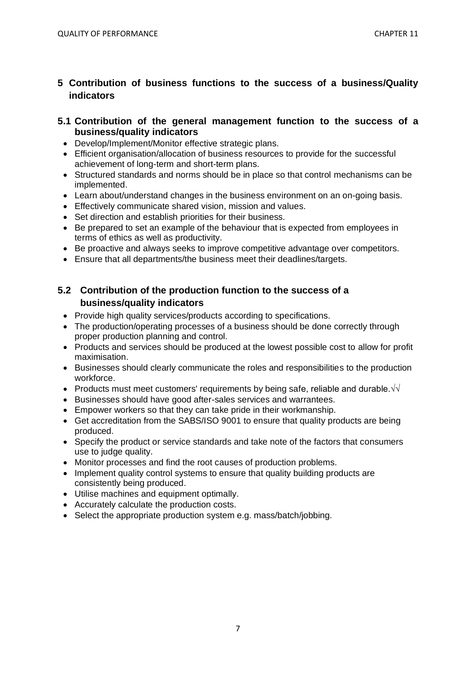# **5 Contribution of business functions to the success of a business/Quality indicators**

## **5.1 Contribution of the general management function to the success of a business/quality indicators**

- Develop/Implement/Monitor effective strategic plans.
- Efficient organisation/allocation of business resources to provide for the successful achievement of long-term and short-term plans.
- Structured standards and norms should be in place so that control mechanisms can be implemented.
- Learn about/understand changes in the business environment on an on-going basis.
- Effectively communicate shared vision, mission and values.
- Set direction and establish priorities for their business.
- Be prepared to set an example of the behaviour that is expected from employees in terms of ethics as well as productivity.
- Be proactive and always seeks to improve competitive advantage over competitors.
- Ensure that all departments/the business meet their deadlines/targets.

# **5.2 Contribution of the production function to the success of a business/quality indicators**

- Provide high quality services/products according to specifications.
- The production/operating processes of a business should be done correctly through proper production planning and control.
- Products and services should be produced at the lowest possible cost to allow for profit maximisation.
- Businesses should clearly communicate the roles and responsibilities to the production workforce.
- Products must meet customers' requirements by being safe, reliable and durable.√√
- Businesses should have good after-sales services and warrantees.
- Empower workers so that they can take pride in their workmanship.
- Get accreditation from the SABS/ISO 9001 to ensure that quality products are being produced.
- Specify the product or service standards and take note of the factors that consumers use to judge quality.
- Monitor processes and find the root causes of production problems.
- Implement quality control systems to ensure that quality building products are consistently being produced.
- Utilise machines and equipment optimally.
- Accurately calculate the production costs.
- Select the appropriate production system e.g. mass/batch/jobbing.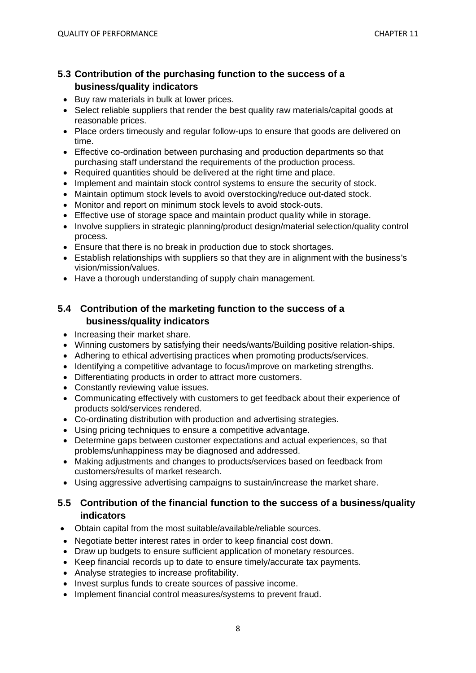# **5.3 Contribution of the purchasing function to the success of a business/quality indicators**

- Buy raw materials in bulk at lower prices.
- Select reliable suppliers that render the best quality raw materials/capital goods at reasonable prices.
- Place orders timeously and regular follow-ups to ensure that goods are delivered on time.
- Effective co-ordination between purchasing and production departments so that purchasing staff understand the requirements of the production process.
- Required quantities should be delivered at the right time and place.
- Implement and maintain stock control systems to ensure the security of stock.
- Maintain optimum stock levels to avoid overstocking/reduce out-dated stock.
- Monitor and report on minimum stock levels to avoid stock-outs.
- Effective use of storage space and maintain product quality while in storage.
- Involve suppliers in strategic planning/product design/material selection/quality control process.
- Ensure that there is no break in production due to stock shortages.
- Establish relationships with suppliers so that they are in alignment with the business's vision/mission/values.
- Have a thorough understanding of supply chain management.

# **5.4 Contribution of the marketing function to the success of a business/quality indicators**

- Increasing their market share.
- Winning customers by satisfying their needs/wants/Building positive relation-ships.
- Adhering to ethical advertising practices when promoting products/services.
- Identifying a competitive advantage to focus/improve on marketing strengths.
- Differentiating products in order to attract more customers.
- Constantly reviewing value issues.
- Communicating effectively with customers to get feedback about their experience of products sold/services rendered.
- Co-ordinating distribution with production and advertising strategies.
- Using pricing techniques to ensure a competitive advantage.
- Determine gaps between customer expectations and actual experiences, so that problems/unhappiness may be diagnosed and addressed.
- Making adjustments and changes to products/services based on feedback from customers/results of market research.
- Using aggressive advertising campaigns to sustain/increase the market share.

## **5.5 Contribution of the financial function to the success of a business/quality indicators**

- Obtain capital from the most suitable/available/reliable sources.
- Negotiate better interest rates in order to keep financial cost down.
- Draw up budgets to ensure sufficient application of monetary resources.
- Keep financial records up to date to ensure timely/accurate tax payments.
- Analyse strategies to increase profitability.
- Invest surplus funds to create sources of passive income.
- Implement financial control measures/systems to prevent fraud.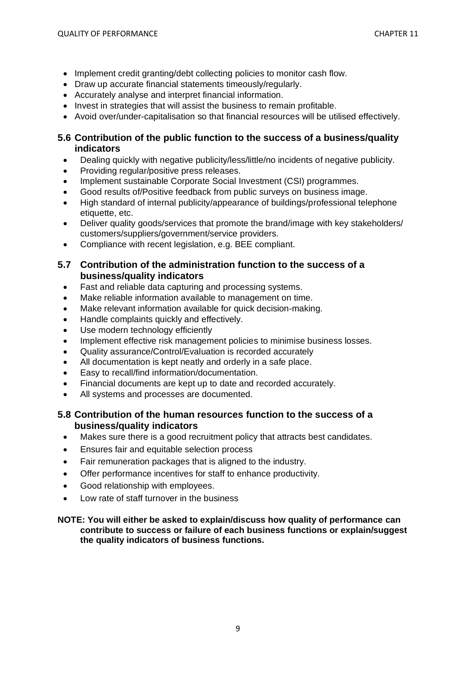- Implement credit granting/debt collecting policies to monitor cash flow.
- Draw up accurate financial statements timeously/regularly.
- Accurately analyse and interpret financial information.
- Invest in strategies that will assist the business to remain profitable.
- Avoid over/under-capitalisation so that financial resources will be utilised effectively.

# **5.6 Contribution of the public function to the success of a business/quality indicators**

- Dealing quickly with negative publicity/less/little/no incidents of negative publicity.
- Providing regular/positive press releases.
- Implement sustainable Corporate Social Investment (CSI) programmes.
- Good results of/Positive feedback from public surveys on business image.
- High standard of internal publicity/appearance of buildings/professional telephone etiquette, etc.
- Deliver quality goods/services that promote the brand/image with key stakeholders/ customers/suppliers/government/service providers.
- Compliance with recent legislation, e.g. BEE compliant.
- **5.7 Contribution of the administration function to the success of a business/quality indicators**
	- Fast and reliable data capturing and processing systems.
	- Make reliable information available to management on time.
	- Make relevant information available for quick decision-making.
	- Handle complaints quickly and effectively.
	- Use modern technology efficiently
	- Implement effective risk management policies to minimise business losses.
	- Quality assurance/Control/Evaluation is recorded accurately
	- All documentation is kept neatly and orderly in a safe place.
	- Easy to recall/find information/documentation.
	- Financial documents are kept up to date and recorded accurately.
	- All systems and processes are documented.

## **5.8 Contribution of the human resources function to the success of a business/quality indicators**

- Makes sure there is a good recruitment policy that attracts best candidates.
- Ensures fair and equitable selection process
- Fair remuneration packages that is aligned to the industry.
- Offer performance incentives for staff to enhance productivity.
- Good relationship with employees.
- Low rate of staff turnover in the business

#### **NOTE: You will either be asked to explain/discuss how quality of performance can contribute to success or failure of each business functions or explain/suggest the quality indicators of business functions.**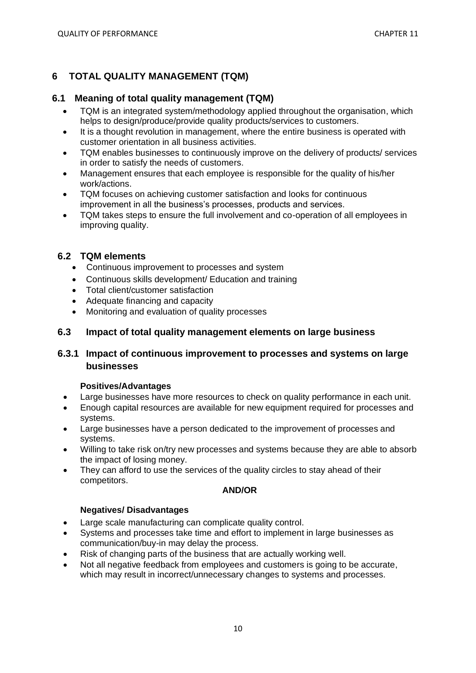# **6 TOTAL QUALITY MANAGEMENT (TQM)**

#### **6.1 Meaning of total quality management (TQM)**

- TQM is an integrated system/methodology applied throughout the organisation, which helps to design/produce/provide quality products/services to customers.
- It is a thought revolution in management, where the entire business is operated with customer orientation in all business activities.
- TQM enables businesses to continuously improve on the delivery of products/ services in order to satisfy the needs of customers.
- Management ensures that each employee is responsible for the quality of his/her work/actions.
- TQM focuses on achieving customer satisfaction and looks for continuous improvement in all the business's processes, products and services.
- TQM takes steps to ensure the full involvement and co-operation of all employees in improving quality.

## **6.2 TQM elements**

- Continuous improvement to processes and system
- Continuous skills development/ Education and training
- Total client/customer satisfaction
- Adequate financing and capacity
- Monitoring and evaluation of quality processes

### **6.3 Impact of total quality management elements on large business**

## **6.3.1 Impact of continuous improvement to processes and systems on large businesses**

#### **Positives/Advantages**

- Large businesses have more resources to check on quality performance in each unit.
- Enough capital resources are available for new equipment required for processes and systems.
- Large businesses have a person dedicated to the improvement of processes and systems.
- Willing to take risk on/try new processes and systems because they are able to absorb the impact of losing money.
- They can afford to use the services of the quality circles to stay ahead of their competitors.

#### **AND/OR**

#### **Negatives/ Disadvantages**

- Large scale manufacturing can complicate quality control.
- Systems and processes take time and effort to implement in large businesses as communication/buy-in may delay the process.
- Risk of changing parts of the business that are actually working well.
- Not all negative feedback from employees and customers is going to be accurate, which may result in incorrect/unnecessary changes to systems and processes.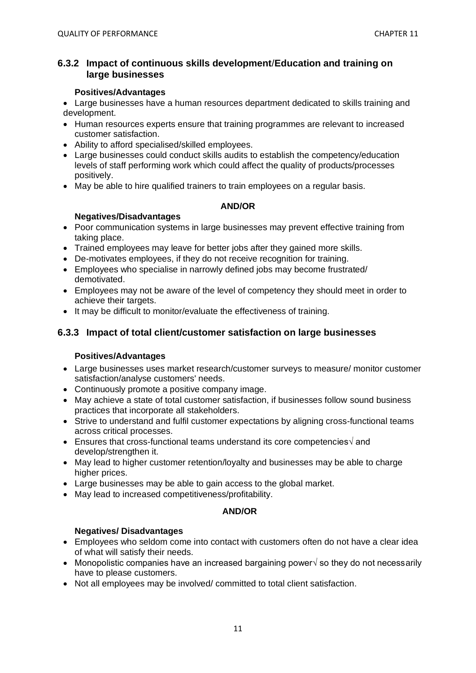### **6.3.2 Impact of continuous skills development**/**Education and training on large businesses**

#### **Positives/Advantages**

• Large businesses have a human resources department dedicated to skills training and development.

- Human resources experts ensure that training programmes are relevant to increased customer satisfaction.
- Ability to afford specialised/skilled employees.
- Large businesses could conduct skills audits to establish the competency/education levels of staff performing work which could affect the quality of products/processes positively.
- May be able to hire qualified trainers to train employees on a regular basis.

#### **AND/OR**

#### **Negatives/Disadvantages**

- Poor communication systems in large businesses may prevent effective training from taking place.
- Trained employees may leave for better jobs after they gained more skills.
- De-motivates employees, if they do not receive recognition for training.
- Employees who specialise in narrowly defined jobs may become frustrated/ demotivated.
- Employees may not be aware of the level of competency they should meet in order to achieve their targets.
- It may be difficult to monitor/evaluate the effectiveness of training.

# **6.3.3 Impact of total client/customer satisfaction on large businesses**

#### **Positives/Advantages**

- Large businesses uses market research/customer surveys to measure/ monitor customer satisfaction/analyse customers' needs.
- Continuously promote a positive company image.
- May achieve a state of total customer satisfaction, if businesses follow sound business practices that incorporate all stakeholders.
- Strive to understand and fulfil customer expectations by aligning cross-functional teams across critical processes.
- Ensures that cross-functional teams understand its core competencies√ and develop/strengthen it.
- May lead to higher customer retention/loyalty and businesses may be able to charge higher prices.
- Large businesses may be able to gain access to the global market.
- May lead to increased competitiveness/profitability.

#### **AND/OR**

## **Negatives/ Disadvantages**

- Employees who seldom come into contact with customers often do not have a clear idea of what will satisfy their needs.
- Monopolistic companies have an increased bargaining power√ so they do not necessarily have to please customers.
- Not all employees may be involved/ committed to total client satisfaction.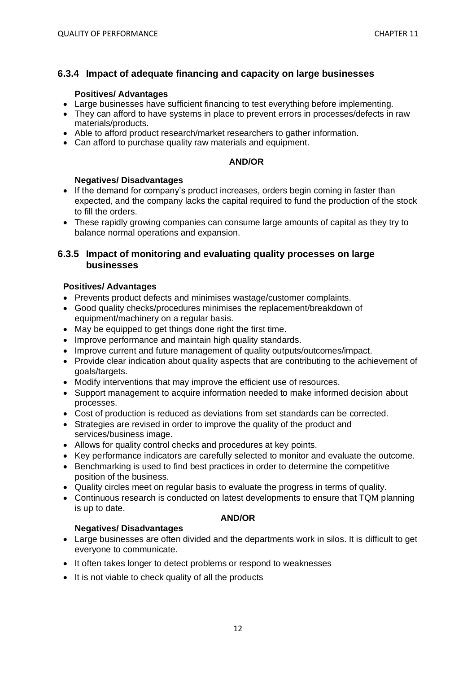## **6.3.4 Impact of adequate financing and capacity on large businesses**

#### **Positives/ Advantages**

- Large businesses have sufficient financing to test everything before implementing.
- They can afford to have systems in place to prevent errors in processes/defects in raw materials/products.
- Able to afford product research/market researchers to gather information.
- Can afford to purchase quality raw materials and equipment.

#### **AND/OR**

#### **Negatives/ Disadvantages**

- If the demand for company's product increases, orders begin coming in faster than expected, and the company lacks the capital required to fund the production of the stock to fill the orders.
- These rapidly growing companies can consume large amounts of capital as they try to balance normal operations and expansion.

#### **6.3.5 Impact of monitoring and evaluating quality processes on large businesses**

#### **Positives/ Advantages**

- Prevents product defects and minimises wastage/customer complaints.
- Good quality checks/procedures minimises the replacement/breakdown of equipment/machinery on a regular basis.
- May be equipped to get things done right the first time.
- Improve performance and maintain high quality standards.
- Improve current and future management of quality outputs/outcomes/impact.
- Provide clear indication about quality aspects that are contributing to the achievement of goals/targets.
- Modify interventions that may improve the efficient use of resources.
- Support management to acquire information needed to make informed decision about processes.
- Cost of production is reduced as deviations from set standards can be corrected.
- Strategies are revised in order to improve the quality of the product and services/business image.
- Allows for quality control checks and procedures at key points.
- Key performance indicators are carefully selected to monitor and evaluate the outcome.
- Benchmarking is used to find best practices in order to determine the competitive position of the business.
- Quality circles meet on regular basis to evaluate the progress in terms of quality.
- Continuous research is conducted on latest developments to ensure that TQM planning is up to date.

#### **AND/OR**

- **Negatives/ Disadvantages** • Large businesses are often divided and the departments work in silos. It is difficult to get everyone to communicate.
- It often takes longer to detect problems or respond to weaknesses
- It is not viable to check quality of all the products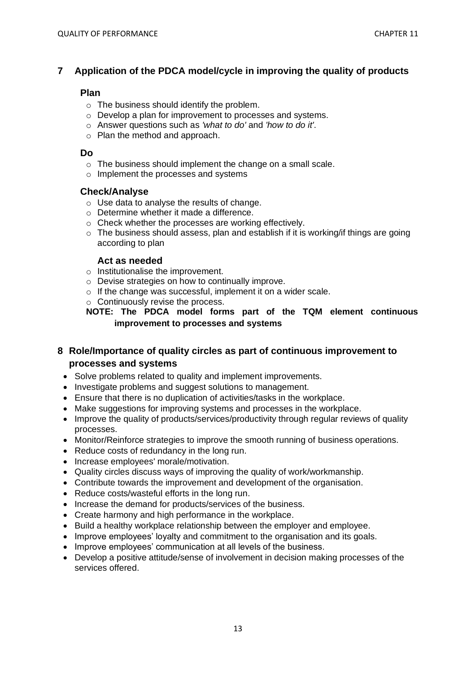# **7 Application of the PDCA model/cycle in improving the quality of products**

#### **Plan**

- $\circ$  The business should identify the problem.
- o Develop a plan for improvement to processes and systems.
- o Answer questions such as *'what to do'* and *'how to do it'*.
- o Plan the method and approach.

#### **Do**

- o The business should implement the change on a small scale.
- o Implement the processes and systems

#### **Check/Analyse**

- o Use data to analyse the results of change.
- o Determine whether it made a difference.
- o Check whether the processes are working effectively.
- $\circ$  The business should assess, plan and establish if it is working/if things are going according to plan

#### **Act as needed**

- o Institutionalise the improvement.
- o Devise strategies on how to continually improve.
- o If the change was successful, implement it on a wider scale.
- $\circ$  Continuously revise the process.

**NOTE: The PDCA model forms part of the TQM element continuous improvement to processes and systems**

## **8 Role/Importance of quality circles as part of continuous improvement to processes and systems**

- Solve problems related to quality and implement improvements.
- Investigate problems and suggest solutions to management.
- Ensure that there is no duplication of activities/tasks in the workplace.
- Make suggestions for improving systems and processes in the workplace.
- Improve the quality of products/services/productivity through regular reviews of quality processes.
- Monitor/Reinforce strategies to improve the smooth running of business operations.
- Reduce costs of redundancy in the long run.
- Increase employees' morale/motivation.
- Quality circles discuss ways of improving the quality of work/workmanship.
- Contribute towards the improvement and development of the organisation.
- Reduce costs/wasteful efforts in the long run.
- Increase the demand for products/services of the business.
- Create harmony and high performance in the workplace.
- Build a healthy workplace relationship between the employer and employee.
- Improve employees' loyalty and commitment to the organisation and its goals.
- Improve employees' communication at all levels of the business.
- Develop a positive attitude/sense of involvement in decision making processes of the services offered.